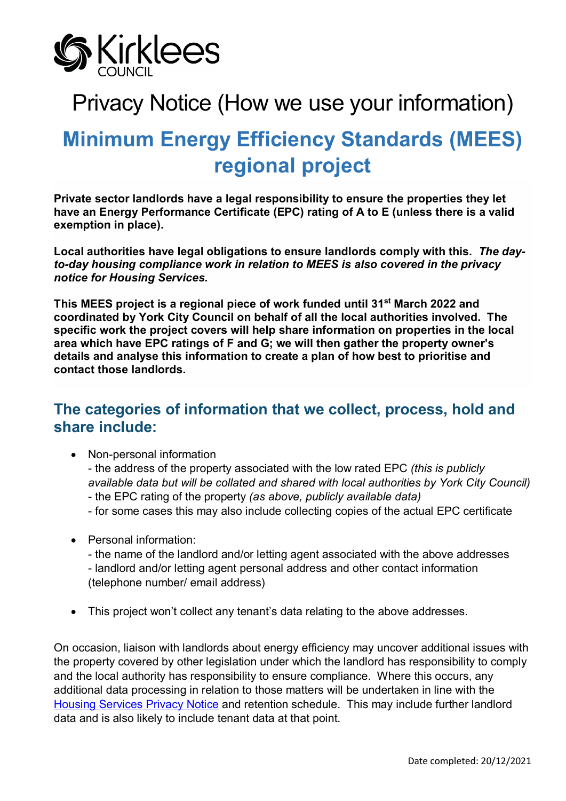

# Privacy Notice (How we use your information)

# **Minimum Energy Efficiency Standards (MEES) regional project**

**Private sector landlords have a legal responsibility to ensure the properties they let have an Energy Performance Certificate (EPC) rating of A to E (unless there is a valid exemption in place).**

**Local authorities have legal obligations to ensure landlords comply with this.** *The dayto-day housing compliance work in relation to MEES is also covered in the privacy notice for Housing Services.*

**This MEES project is a regional piece of work funded until 31st March 2022 and coordinated by York City Council on behalf of all the local authorities involved. The specific work the project covers will help share information on properties in the local area which have EPC ratings of F and G; we will then gather the property owner's details and analyse this information to create a plan of how best to prioritise and contact those landlords.** 

## **The categories of information that we collect, process, hold and share include:**

• Non-personal information

- the address of the property associated with the low rated EPC *(this is publicly available data but will be collated and shared with local authorities by York City Council)* - the EPC rating of the property *(as above, publicly available data)*

- for some cases this may also include collecting copies of the actual EPC certificate
- Personal information:

- the name of the landlord and/or letting agent associated with the above addresses - landlord and/or letting agent personal address and other contact information (telephone number/ email address)

• This project won't collect any tenant's data relating to the above addresses.

On occasion, liaison with landlords about energy efficiency may uncover additional issues with the property covered by other legislation under which the landlord has responsibility to comply and the local authority has responsibility to ensure compliance. Where this occurs, any additional data processing in relation to those matters will be undertaken in line with the [Housing Services Privacy Notice](https://www.kirklees.gov.uk/beta/information-and-data/pdf/privacy-notice-housing-services.pdf) and retention schedule. This may include further landlord data and is also likely to include tenant data at that point.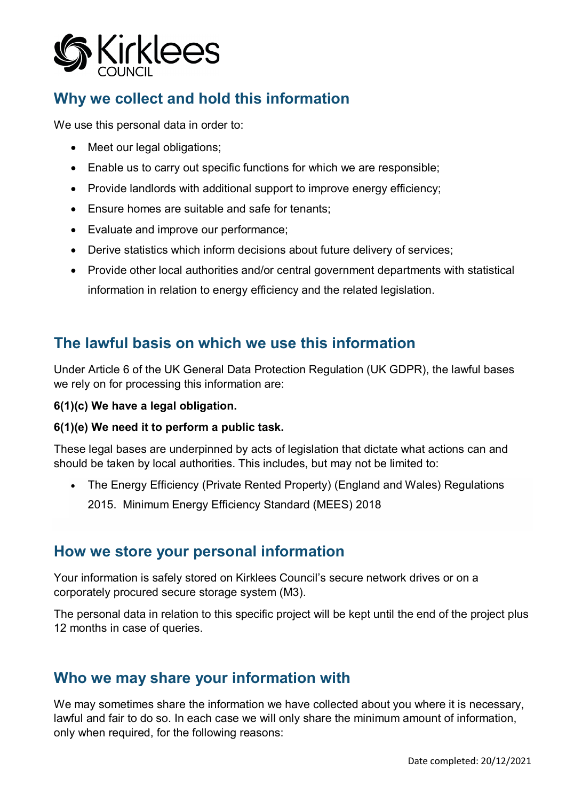

## **Why we collect and hold this information**

We use this personal data in order to:

- Meet our legal obligations;
- Enable us to carry out specific functions for which we are responsible;
- Provide landlords with additional support to improve energy efficiency;
- Ensure homes are suitable and safe for tenants;
- Evaluate and improve our performance;
- Derive statistics which inform decisions about future delivery of services;
- Provide other local authorities and/or central government departments with statistical information in relation to energy efficiency and the related legislation.

## **The lawful basis on which we use this information**

Under Article 6 of the UK General Data Protection Regulation (UK GDPR), the lawful bases we rely on for processing this information are:

#### **6(1)(c) We have a legal obligation.**

#### **6(1)(e) We need it to perform a public task.**

These legal bases are underpinned by acts of legislation that dictate what actions can and should be taken by local authorities. This includes, but may not be limited to:

• The Energy Efficiency (Private Rented Property) (England and Wales) Regulations 2015. Minimum Energy Efficiency Standard (MEES) 2018

### **How we store your personal information**

Your information is safely stored on Kirklees Council's secure network drives or on a corporately procured secure storage system (M3).

The personal data in relation to this specific project will be kept until the end of the project plus 12 months in case of queries.

## **Who we may share your information with**

We may sometimes share the information we have collected about you where it is necessary, lawful and fair to do so. In each case we will only share the minimum amount of information, only when required, for the following reasons: